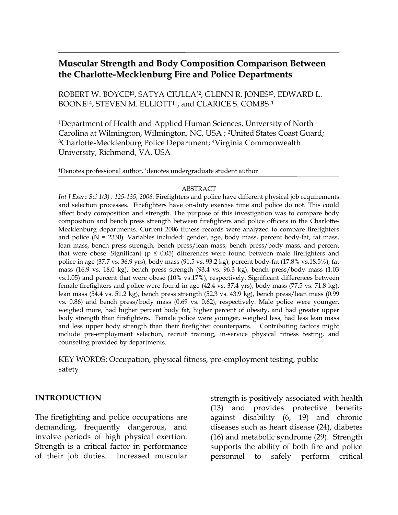# **Muscular Strength and Body Composition Comparison Between the Charlotte-Mecklenburg Fire and Police Departments**

ROBERT W. BOYCE‡1, SATYA CIULLA\*2, GLENN R. JONES‡3, EDWARD L. BOONE<sup>‡4</sup>, STEVEN M. ELLIOTT<sup>‡1</sup>, and CLARICE S. COMBS<sup>‡1</sup>

1Department of Health and Applied Human Sciences, University of North Carolina at Wilmington, Wilmington, NC, USA ; 2United States Coast Guard; 3Charlotte-Mecklenburg Police Department; 4Virginia Commonwealth University, Richmond, VA, USA

‡Denotes professional author, \* denotes undergraduate student author

#### ABSTRACT

*Int J Exerc Sci 1(3) : 125-135, 2008.* Firefighters and police have different physical job requirements and selection processes. Firefighters have on-duty exercise time and police do not. This could affect body composition and strength. The purpose of this investigation was to compare body composition and bench press strength between firefighters and police officers in the Charlotte-Mecklenburg departments. Current 2006 fitness records were analyzed to compare firefighters and police  $(N = 2330)$ . Variables included: gender, age, body mass, percent body-fat, fat mass, lean mass, bench press strength, bench press/lean mass, bench press/body mass, and percent that were obese. Significant ( $p \le 0.05$ ) differences were found between male firefighters and police in age (37.7 vs. 36.9 yrs), body mass (91.5 vs. 93.2 kg), percent body-fat (17.8% vs.18.5%), fat mass (16.9 vs. 18.0 kg), bench press strength  $(93.4 \text{ vs. } 96.3 \text{ kg})$ , bench press/body mass  $(1.03 \text{ m})$ vs.1.05) and percent that were obese (10% vs.17%), respectively. Significant differences between female firefighters and police were found in age (42.4 vs. 37.4 yrs), body mass (77.5 vs. 71.8 kg), lean mass (54.4 vs. 51.2 kg), bench press strength (52.3 vs. 43.9 kg), bench press/lean mass (0.99 vs. 0.86) and bench press/body mass (0.69 vs. 0.62), respectively. Male police were younger, weighed more, had higher percent body fat, higher percent of obesity, and had greater upper body strength than firefighters. Female police were younger, weighed less, had less lean mass and less upper body strength than their firefighter counterparts. Contributing factors might include pre-employment selection, recruit training, in-service physical fitness testing, and counseling provided by departments.

KEY WORDS: Occupation, physical fitness, pre-employment testing, public safety

#### **INTRODUCTION**

The firefighting and police occupations are demanding, frequently dangerous, and involve periods of high physical exertion. Strength is a critical factor in performance of their job duties. Increased muscular

strength is positively associated with health (13) and provides protective benefits against disability (6, 19) and chronic diseases such as heart disease (24), diabetes (16) and metabolic syndrome (29). Strength supports the ability of both fire and police personnel to safely perform critical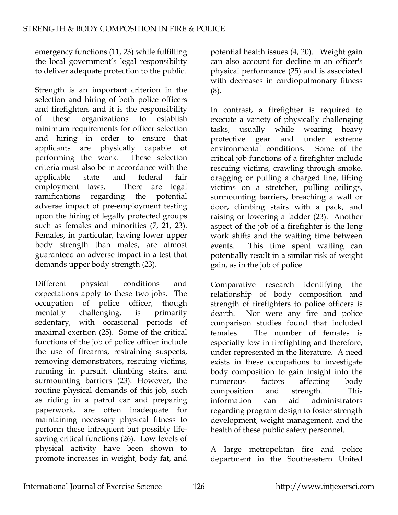emergency functions (11, 23) while fulfilling the local government's legal responsibility to deliver adequate protection to the public.

Strength is an important criterion in the selection and hiring of both police officers and firefighters and it is the responsibility of these organizations to establish minimum requirements for officer selection and hiring in order to ensure that applicants are physically capable of performing the work. These selection criteria must also be in accordance with the applicable state and federal fair employment laws. There are legal ramifications regarding the potential adverse impact of pre-employment testing upon the hiring of legally protected groups such as females and minorities  $(7, 21, 23)$ . Females, in particular, having lower upper body strength than males, are almost guaranteed an adverse impact in a test that demands upper body strength (23).

Different physical conditions and expectations apply to these two jobs. The occupation of police officer, though mentally challenging, is primarily sedentary, with occasional periods of maximal exertion (25). Some of the critical functions of the job of police officer include the use of firearms, restraining suspects, removing demonstrators, rescuing victims, running in pursuit, climbing stairs, and surmounting barriers (23). However, the routine physical demands of this job, such as riding in a patrol car and preparing paperwork, are often inadequate for maintaining necessary physical fitness to perform these infrequent but possibly lifesaving critical functions (26). Low levels of physical activity have been shown to promote increases in weight, body fat, and

potential health issues (4, 20). Weight gain can also account for decline in an officer's physical performance (25) and is associated with decreases in cardiopulmonary fitness (8).

In contrast, a firefighter is required to execute a variety of physically challenging tasks, usually while wearing heavy protective gear and under extreme environmental conditions. Some of the critical job functions of a firefighter include rescuing victims, crawling through smoke, dragging or pulling a charged line, lifting victims on a stretcher, pulling ceilings, surmounting barriers, breaching a wall or door, climbing stairs with a pack, and raising or lowering a ladder (23). Another aspect of the job of a firefighter is the long work shifts and the waiting time between events. This time spent waiting can potentially result in a similar risk of weight gain, as in the job of police.

Comparative research identifying the relationship of body composition and strength of firefighters to police officers is dearth. Nor were any fire and police comparison studies found that included females. The number of females is especially low in firefighting and therefore, under represented in the literature. A need exists in these occupations to investigate body composition to gain insight into the numerous factors affecting body composition and strength. This information can aid administrators regarding program design to foster strength development, weight management, and the health of these public safety personnel.

A large metropolitan fire and police department in the Southeastern United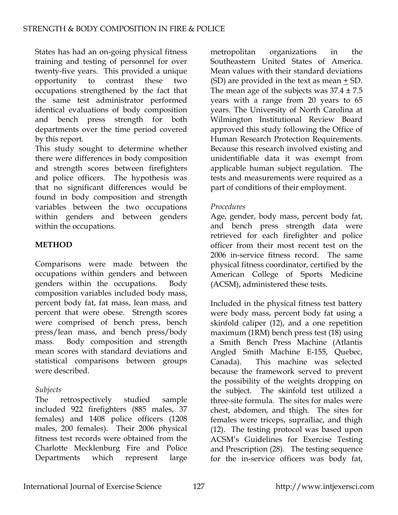States has had an on-going physical fitness training and testing of personnel for over twenty-five years. This provided a unique opportunity to contrast these two occupations strengthened by the fact that the same test administrator performed identical evaluations of body composition and bench press strength for both departments over the time period covered by this report.

This study sought to determine whether there were differences in body composition and strength scores between firefighters and police officers. The hypothesis was that no significant differences would be found in body composition and strength variables between the two occupations within genders and between genders within the occupations.

### **METHOD**

Comparisons were made between the occupations within genders and between genders within the occupations. Body composition variables included body mass, percent body fat, fat mass, lean mass, and percent that were obese. Strength scores were comprised of bench press, bench press/lean mass, and bench press/body mass. Body composition and strength mean scores with standard deviations and statistical comparisons between groups were described.

## *Subjects*

The retrospectively studied sample included 922 firefighters (885 males, 37 females) and 1408 police officers (1208 males, 200 females). Their 2006 physical fitness test records were obtained from the Charlotte Mecklenburg Fire and Police Departments which represent large

metropolitan organizations in the Southeastern United States of America. Mean values with their standard deviations (SD) are provided in the text as mean + SD. The mean age of the subjects was  $37.4 \pm 7.5$ years with a range from 20 years to 65 years. The University of North Carolina at Wilmington Institutional Review Board approved this study following the Office of Human Research Protection Requirements. Because this research involved existing and unidentifiable data it was exempt from applicable human subject regulation. The tests and measurements were required as a part of conditions of their employment.

### *Procedures*

Age, gender, body mass, percent body fat, and bench press strength data were retrieved for each firefighter and police officer from their most recent test on the 2006 in-service fitness record. The same physical fitness coordinator, certified by the American College of Sports Medicine (ACSM), administered these tests.

Included in the physical fitness test battery were body mass, percent body fat using a skinfold caliper (12), and a one repetition maximum (1RM) bench press test (18) using a Smith Bench Press Machine (Atlantis Angled Smith Machine E-155, Quebec, Canada). This machine was selected because the framework served to prevent the possibility of the weights dropping on the subject. The skinfold test utilized a three-site formula. The sites for males were chest, abdomen, and thigh. The sites for females were triceps, suprailiac, and thigh (12). The testing protocol was based upon ACSM's Guidelines for Exercise Testing and Prescription (28). The testing sequence for the in-service officers was body fat,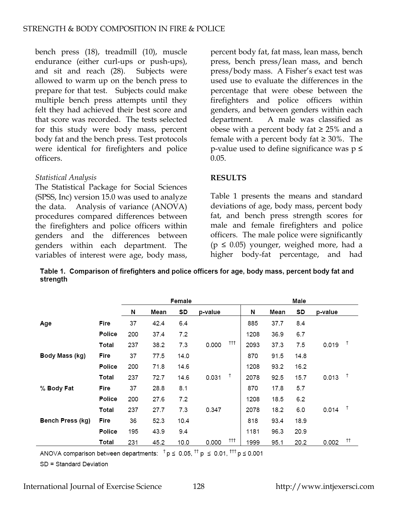bench press (18), treadmill (10), muscle endurance (either curl-ups or push-ups), and sit and reach (28). Subjects were allowed to warm up on the bench press to prepare for that test. Subjects could make multiple bench press attempts until they felt they had achieved their best score and that score was recorded. The tests selected for this study were body mass, percent body fat and the bench press. Test protocols were identical for firefighters and police officers.

#### *Statistical Analysis*

The Statistical Package for Social Sciences (SPSS, Inc) version 15.0 was used to analyze the data. Analysis of variance (ANOVA) procedures compared differences between the firefighters and police officers within genders and the differences between genders within each department. The variables of interest were age, body mass,

percent body fat, fat mass, lean mass, bench press, bench press/lean mass, and bench press/body mass. A Fisher's exact test was used use to evaluate the differences in the percentage that were obese between the firefighters and police officers within genders, and between genders within each department. A male was classified as obese with a percent body fat ≥ 25% and a female with a percent body fat  $\geq 30\%$ . The p-value used to define significance was  $p \leq$ 0.05.

#### **RESULTS**

Table 1 presents the means and standard deviations of age, body mass, percent body fat, and bench press strength scores for male and female firefighters and police officers. The male police were significantly  $(p \le 0.05)$  younger, weighed more, had a higher body-fat percentage, and had

Table 1. Comparison of firefighters and police officers for age, body mass, percent body fat and strength

|                  |        | Female |      |      |         |     | Male |      |      |         |               |
|------------------|--------|--------|------|------|---------|-----|------|------|------|---------|---------------|
|                  |        | Ν      | Mean | SD   | p-value |     | Ν    | Mean | SD   | p-value |               |
| Age              | Fire   | 37     | 42.4 | 6.4  |         |     | 885  | 37.7 | 8.4  |         |               |
|                  | Police | 200    | 37.4 | 7.2  |         |     | 1208 | 36.9 | 6.7  |         |               |
|                  | Total  | 237    | 38.2 | 7.3  | 0.000   | ††  | 2093 | 37.3 | 7.5  | 0.019   | $\frac{1}{2}$ |
| Body Mass (kg)   | Fire   | 37     | 77.5 | 14.0 |         |     | 870  | 91.5 | 14.8 |         |               |
|                  | Police | 200    | 71.8 | 14.6 |         |     | 1208 | 93.2 | 16.2 |         |               |
|                  | Total  | 237    | 72.7 | 14.6 | 0.031   | Ť   | 2078 | 92.5 | 15.7 | 0.013   | $\frac{1}{2}$ |
| % Body Fat       | Fire   | 37     | 28.8 | 8.1  |         |     | 870  | 17.8 | 5.7  |         |               |
|                  | Police | 200    | 27.6 | 7.2  |         |     | 1208 | 18.5 | 6.2  |         |               |
|                  | Total  | 237    | 27.7 | 7.3  | 0.347   |     | 2078 | 18.2 | 6.0  | 0.014   | $\top$        |
| Bench Press (kg) | Fire   | 36     | 52.3 | 10.4 |         |     | 818  | 93.4 | 18.9 |         |               |
|                  | Police | 195    | 43.9 | 9.4  |         |     | 1181 | 96.3 | 20.9 |         |               |
|                  | Total  | 231    | 45.2 | 10.0 | 0.000   | ††† | 1999 | 95.1 | 20.2 | 0.002   | ŤŤ.           |

ANOVA comparison between departments:  $^{\dagger}$  p  $\leq$  0.05,  $^{\dagger\dagger}$  p  $\leq$  0.01,  $^{\dagger\dagger\dagger}$  p  $\leq$  0.001

SD = Standard Deviation

International Journal of Exercise Science 128 http://www.intjexersci.com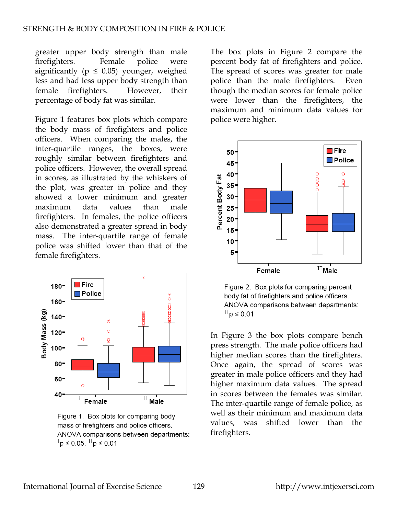greater upper body strength than male firefighters. Female police were significantly ( $p \leq 0.05$ ) younger, weighed less and had less upper body strength than female firefighters. However, their percentage of body fat was similar.

Figure 1 features box plots which compare the body mass of firefighters and police officers. When comparing the males, the inter-quartile ranges, the boxes, were roughly similar between firefighters and police officers. However, the overall spread in scores, as illustrated by the whiskers of the plot, was greater in police and they showed a lower minimum and greater maximum data values than male firefighters. In females, the police officers also demonstrated a greater spread in body mass. The inter-quartile range of female police was shifted lower than that of the female firefighters.



Figure 1. Box plots for comparing body mass of firefighters and police officers. ANOVA comparisons between departments: <sup>†</sup>p ≤ 0.05, <sup>††</sup>p ≤ 0.01

The box plots in Figure 2 compare the percent body fat of firefighters and police. The spread of scores was greater for male police than the male firefighters. Even though the median scores for female police were lower than the firefighters, the maximum and minimum data values for police were higher.



Figure 2. Box plots for comparing percent body fat of firefighters and police officers. ANOVA comparisons between departments: <sup>††</sup>p ≤ 0.01

In Figure 3 the box plots compare bench press strength. The male police officers had higher median scores than the firefighters. Once again, the spread of scores was greater in male police officers and they had higher maximum data values. The spread in scores between the females was similar. The inter-quartile range of female police, as well as their minimum and maximum data values, was shifted lower than the firefighters.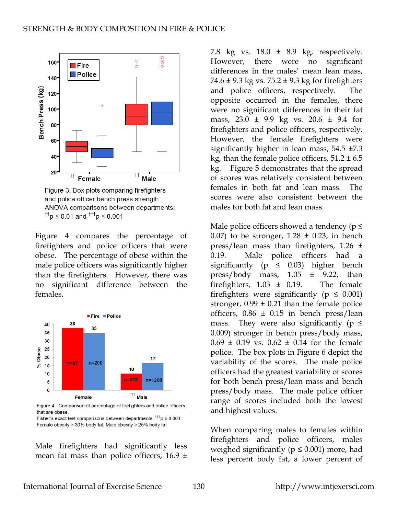

Figure 3. Box plots comparing firefighters and police officer bench press strength. ANOVA comparisons between departments: <sup>††</sup>p ≤ 0.01 and <sup>†††</sup>p ≤ 0.001

Figure 4 compares the percentage of firefighters and police officers that were obese. The percentage of obese within the male police officers was significantly higher than the firefighters. However, there was no significant difference between the females.



Figure 4. Comparison of percentage of firefighters and police officers that are obese.

Fisher's exact test comparisons between departments:  $^{\uparrow\uparrow\uparrow}p \leq 0.001$ Female obesity ≥ 30% body fat. Male obesity ≥ 25% body fat

Male firefighters had significantly less mean fat mass than police officers,  $16.9 \pm$ 

7.8 kg vs. 18.0 ± 8.9 kg, respectively. However, there were no significant differences in the males' mean lean mass, 74.6  $\pm$  9.3 kg vs. 75.2  $\pm$  9.3 kg for firefighters and police officers, respectively. The opposite occurred in the females, there were no significant differences in their fat mass, 23.0 ± 9.9 kg vs. 20.6 ± 9.4 for firefighters and police officers, respectively. However, the female firefighters were significantly higher in lean mass, 54.5 ±7.3 kg, than the female police officers,  $51.2 \pm 6.5$ kg. Figure 5 demonstrates that the spread of scores was relatively consistent between females in both fat and lean mass. The scores were also consistent between the males for both fat and lean mass.

Male police officers showed a tendency ( $p \leq$ 0.07) to be stronger,  $1.28 \pm 0.23$ , in bench press/lean mass than firefighters, 1.26 ± 0.19. Male police officers had a significantly ( $p \leq 0.03$ ) higher bench press/body mass,  $1.05 \pm 9.22$ , than firefighters,  $1.03 \pm 0.19$ . The female firefighters were significantly ( $p \leq 0.001$ ) stronger,  $0.99 \pm 0.21$  than the female police officers,  $0.86 \pm 0.15$  in bench press/lean mass. They were also significantly ( $p \leq$ 0.009) stronger in bench press/body mass,  $0.69 \pm 0.19$  vs.  $0.62 \pm 0.14$  for the female police. The box plots in Figure 6 depict the variability of the scores. The male police officers had the greatest variability of scores for both bench press/lean mass and bench press/body mass. The male police officer range of scores included both the lowest and highest values.

When comparing males to females within firefighters and police officers, males weighed significantly ( $p \leq 0.001$ ) more, had less percent body fat, a lower percent of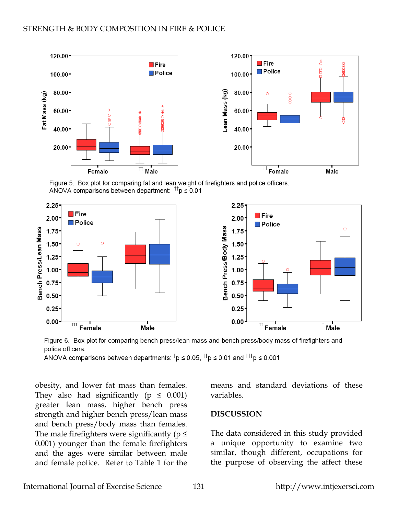

Figure 5. Box plot for comparing fat and lean weight of firefighters and police officers. ANOVA comparisons between department:  $T_p \le 0.01$ 





ANOVA comparisons between departments:  $\bar{p}$   $\leq$  0.05,  $\bar{p}$   $\leq$  0.01 and  $\bar{p}$  = 0.001

obesity, and lower fat mass than females. They also had significantly ( $p \leq 0.001$ ) greater lean mass, higher bench press strength and higher bench press/lean mass and bench press/body mass than females. The male firefighters were significantly ( $p \leq$ 0.001) younger than the female firefighters and the ages were similar between male and female police. Refer to Table 1 for the means and standard deviations of these variables.

#### **DISCUSSION**

The data considered in this study provided a unique opportunity to examine two similar, though different, occupations for the purpose of observing the affect these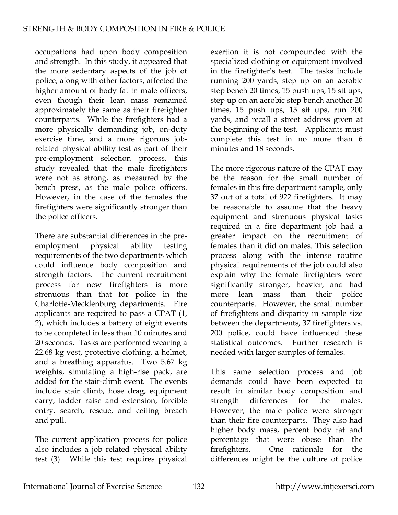occupations had upon body composition and strength. In this study, it appeared that the more sedentary aspects of the job of police, along with other factors, affected the higher amount of body fat in male officers, even though their lean mass remained approximately the same as their firefighter counterparts. While the firefighters had a more physically demanding job, on-duty exercise time, and a more rigorous jobrelated physical ability test as part of their pre-employment selection process, this study revealed that the male firefighters were not as strong, as measured by the bench press, as the male police officers. However, in the case of the females the firefighters were significantly stronger than the police officers.

There are substantial differences in the preemployment physical ability testing requirements of the two departments which could influence body composition and strength factors. The current recruitment process for new firefighters is more strenuous than that for police in the Charlotte-Mecklenburg departments. Fire applicants are required to pass a CPAT (1, 2), which includes a battery of eight events to be completed in less than 10 minutes and 20 seconds. Tasks are performed wearing a 22.68 kg vest, protective clothing, a helmet, and a breathing apparatus. Two 5.67 kg weights, simulating a high-rise pack, are added for the stair-climb event. The events include stair climb, hose drag, equipment carry, ladder raise and extension, forcible entry, search, rescue, and ceiling breach and pull.

The current application process for police also includes a job related physical ability test (3). While this test requires physical

exertion it is not compounded with the specialized clothing or equipment involved in the firefighter's test. The tasks include running 200 yards, step up on an aerobic step bench 20 times, 15 push ups, 15 sit ups, step up on an aerobic step bench another 20 times, 15 push ups, 15 sit ups, run 200 yards, and recall a street address given at the beginning of the test. Applicants must complete this test in no more than 6 minutes and 18 seconds.

The more rigorous nature of the CPAT may be the reason for the small number of females in this fire department sample, only 37 out of a total of 922 firefighters. It may be reasonable to assume that the heavy equipment and strenuous physical tasks required in a fire department job had a greater impact on the recruitment of females than it did on males. This selection process along with the intense routine physical requirements of the job could also explain why the female firefighters were significantly stronger, heavier, and had more lean mass than their police counterparts. However, the small number of firefighters and disparity in sample size between the departments, 37 firefighters vs. 200 police, could have influenced these statistical outcomes. Further research is needed with larger samples of females.

This same selection process and job demands could have been expected to result in similar body composition and strength differences for the males. However, the male police were stronger than their fire counterparts. They also had higher body mass, percent body fat and percentage that were obese than the firefighters. One rationale for the differences might be the culture of police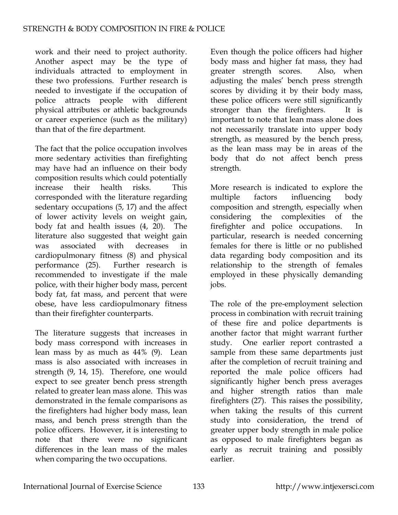work and their need to project authority. Another aspect may be the type of individuals attracted to employment in these two professions. Further research is needed to investigate if the occupation of police attracts people with different physical attributes or athletic backgrounds or career experience (such as the military) than that of the fire department.

The fact that the police occupation involves more sedentary activities than firefighting may have had an influence on their body composition results which could potentially increase their health risks. This corresponded with the literature regarding sedentary occupations (5, 17) and the affect of lower activity levels on weight gain, body fat and health issues (4, 20). The literature also suggested that weight gain was associated with decreases in cardiopulmonary fitness (8) and physical performance (25). Further research is recommended to investigate if the male police, with their higher body mass, percent body fat, fat mass, and percent that were obese, have less cardiopulmonary fitness than their firefighter counterparts.

The literature suggests that increases in body mass correspond with increases in lean mass by as much as 44% (9). Lean mass is also associated with increases in strength (9, 14, 15). Therefore, one would expect to see greater bench press strength related to greater lean mass alone. This was demonstrated in the female comparisons as the firefighters had higher body mass, lean mass, and bench press strength than the police officers. However, it is interesting to note that there were no significant differences in the lean mass of the males when comparing the two occupations.

Even though the police officers had higher body mass and higher fat mass, they had greater strength scores. Also, when adjusting the males' bench press strength scores by dividing it by their body mass, these police officers were still significantly stronger than the firefighters. It is important to note that lean mass alone does not necessarily translate into upper body strength, as measured by the bench press, as the lean mass may be in areas of the body that do not affect bench press strength.

More research is indicated to explore the multiple factors influencing body composition and strength, especially when considering the complexities of the firefighter and police occupations. In particular, research is needed concerning females for there is little or no published data regarding body composition and its relationship to the strength of females employed in these physically demanding jobs.

The role of the pre-employment selection process in combination with recruit training of these fire and police departments is another factor that might warrant further study. One earlier report contrasted a sample from these same departments just after the completion of recruit training and reported the male police officers had significantly higher bench press averages and higher strength ratios than male firefighters (27). This raises the possibility, when taking the results of this current study into consideration, the trend of greater upper body strength in male police as opposed to male firefighters began as early as recruit training and possibly earlier.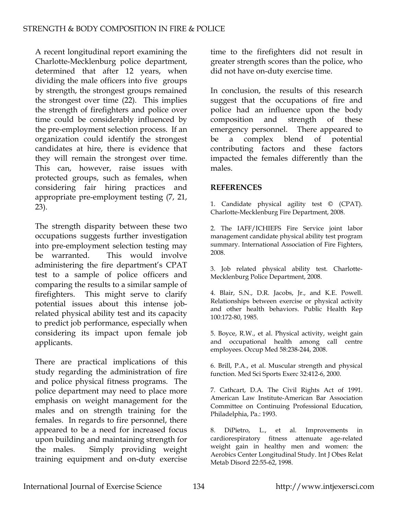A recent longitudinal report examining the Charlotte-Mecklenburg police department, determined that after 12 years, when dividing the male officers into five groups by strength, the strongest groups remained the strongest over time (22). This implies the strength of firefighters and police over time could be considerably influenced by the pre-employment selection process. If an organization could identify the strongest candidates at hire, there is evidence that they will remain the strongest over time. This can, however, raise issues with protected groups, such as females, when considering fair hiring practices and appropriate pre-employment testing (7, 21, 23).

The strength disparity between these two occupations suggests further investigation into pre-employment selection testing may be warranted. This would involve administering the fire department's CPAT test to a sample of police officers and comparing the results to a similar sample of firefighters. This might serve to clarify potential issues about this intense jobrelated physical ability test and its capacity to predict job performance, especially when considering its impact upon female job applicants.

There are practical implications of this study regarding the administration of fire and police physical fitness programs. The police department may need to place more emphasis on weight management for the males and on strength training for the females. In regards to fire personnel, there appeared to be a need for increased focus upon building and maintaining strength for the males. Simply providing weight training equipment and on-duty exercise time to the firefighters did not result in greater strength scores than the police, who did not have on-duty exercise time.

In conclusion, the results of this research suggest that the occupations of fire and police had an influence upon the body composition and strength of these emergency personnel. There appeared to be a complex blend of potential contributing factors and these factors impacted the females differently than the males.

#### **REFERENCES**

1. Candidate physical agility test © (CPAT). Charlotte-Mecklenburg Fire Department, 2008.

2. The IAFF/ICHIEFS Fire Service joint labor management candidate physical ability test program summary. International Association of Fire Fighters, 2008.

3. Job related physical ability test. Charlotte-Mecklenburg Police Department, 2008.

4. Blair, S.N., D.R. Jacobs, Jr., and K.E. Powell. Relationships between exercise or physical activity and other health behaviors. Public Health Rep 100:172-80, 1985.

5. Boyce, R.W., et al. Physical activity, weight gain and occupational health among call centre employees. Occup Med 58:238-244, 2008.

6. Brill, P.A., et al. Muscular strength and physical function. Med Sci Sports Exerc 32:412-6, 2000.

7. Cathcart, D.A. The Civil Rights Act of 1991. American Law Institute-American Bar Association Committee on Continuing Professional Education, Philadelphia, Pa.: 1993.

8. DiPietro, L., et al. Improvements in cardiorespiratory fitness attenuate age-related weight gain in healthy men and women: the Aerobics Center Longitudinal Study. Int J Obes Relat Metab Disord 22:55-62, 1998.